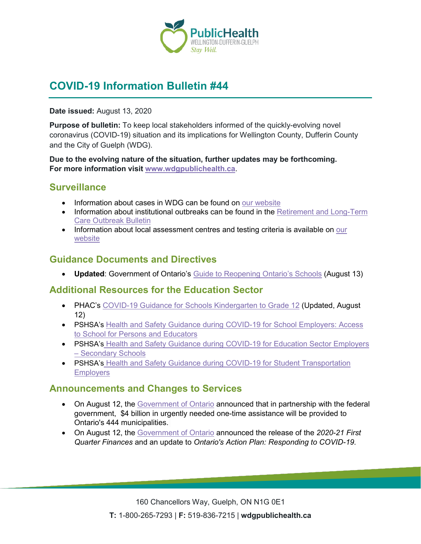

## **COVID-19 Information Bulletin #44**

#### **Date issued:** August 13, 2020

**Purpose of bulletin:** To keep local stakeholders informed of the quickly-evolving novel coronavirus (COVID-19) situation and its implications for Wellington County, Dufferin County and the City of Guelph (WDG).

**Due to the evolving nature of the situation, further updates may be forthcoming. For more information visit [www.wdgpublichealth.ca](http://www.wdgpublichealth.ca/)**.

#### **Surveillance**

- Information about cases in WDG can be found on [our website](https://wdgpublichealth.ca/your-health/covid-19-information-public/status-cases-wdg)
- Information about institutional outbreaks can be found in the Retirement and Long-Term [Care Outbreak Bulletin](https://wdgpublichealth.ca/node/1542)
- Information about local assessment centres and testing criteria is available on our [website](https://www.wdgpublichealth.ca/your-health/covid-19-information-public/assessment-centres-wdg)

#### **Guidance Documents and Directives**

• **Updated**: Government of Ontario's [Guide to Reopening Ontario's Schools](https://www.ontario.ca/page/guide-reopening-ontarios-schools?share=df1f50a0-d1a2-11ea-8b1a-e3b1c683b5f9&_ga=2.107722626.1037343092.1595876661-1123331746.1579028832) (August 13)

#### **Additional Resources for the Education Sector**

- PHAC's [COVID-19 Guidance for Schools Kindergarten to Grade 12](https://www.canada.ca/en/public-health/services/diseases/2019-novel-coronavirus-infection/health-professionals/guidance-schools-childcare-programs.html) (Updated, August 12)
- PSHSA's Health and Safety Guidance during COVID-19 for School Employers: Access [to School for Persons and Educators](https://www.pshsa.ca/resources/health-and-safety-guidance-during-covid-19-for-school-employers-access-to-school-for-persons-and-educators)
- PSHSA's Health and Safety Guidance during COVID-19 for Education Sector Employers – [Secondary Schools](https://www.pshsa.ca/resources/health-and-safety-guidance-during-covid-19-for-secondary-school-employers)
- PSHSA's Health and Safety Guidance during COVID-19 for Student Transportation **[Employers](https://www.pshsa.ca/resources/health-and-safety-guidance-during-covid-19-for-student-transportation-employer)**

#### **Announcements and Changes to Services**

- On August 12, the [Government of Ontario](https://news.ontario.ca/opo/en/2020/08/ontario-providing-municipalities-with-up-to-16-billion-in-first-round-of-emergency-funding.html) announced that in partnership with the federal government, \$4 billion in urgently needed one-time assistance will be provided to Ontario's 444 municipalities.
- On August 12, the [Government of Ontario](https://news.ontario.ca/mof/en/2020/08/ontario-releases-2020-21-first-quarter-finances.html) announced the release of the *2020-21 First Quarter Finances* and an update to *Ontario's Action Plan: Responding to COVID-19*.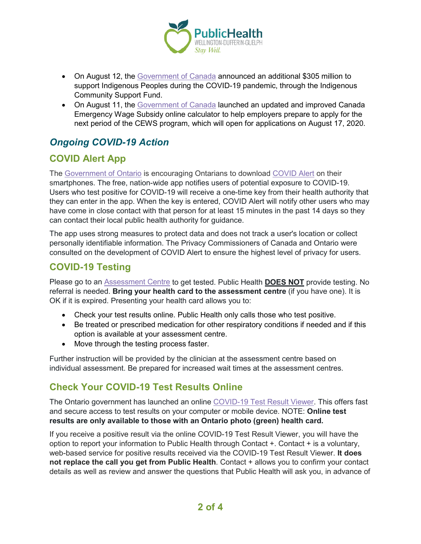

- On August 12, the [Government of Canada](https://www.canada.ca/en/indigenous-services-canada/news/2020/08/government-of-canada-announces-funding-for-indigenous-communities-and-organizations-to-support-community-based-responses-to-covid-19.html) announced an additional \$305 million to support Indigenous Peoples during the COVID-19 pandemic, through the Indigenous Community Support Fund.
- On August 11, the [Government of Canada](https://www.canada.ca/en/revenue-agency/news/2020/08/government-of-canada-launches-updated-canada-emergency-wage-subsidy-calculator-to-support-employers.html) launched an updated and improved Canada Emergency Wage Subsidy online calculator to help employers prepare to apply for the next period of the CEWS program, which will open for applications on August 17, 2020.

## *Ongoing COVID-19 Action*

## **COVID Alert App**

The [Government of Ontario](https://news.ontario.ca/opo/en/2020/07/covid-alert-available-for-download-beginning-today.html) is encouraging Ontarians to download [COVID Alert](https://covid-19.ontario.ca/covidalert?_ga=2.68068817.1702415536.1596548534-1123331746.1579028832) on their smartphones. The free, nation-wide app notifies users of potential exposure to COVID-19. Users who test positive for COVID-19 will receive a one-time key from their health authority that they can enter in the app. When the key is entered, COVID Alert will notify other users who may have come in close contact with that person for at least 15 minutes in the past 14 days so they can contact their local public health authority for guidance.

The app uses strong measures to protect data and does not track a user's location or collect personally identifiable information. The Privacy Commissioners of Canada and Ontario were consulted on the development of COVID Alert to ensure the highest level of privacy for users.

### **COVID-19 Testing**

Please go to an [Assessment Centre](https://wdgpublichealth.ca/your-health/covid-19-information-public/assessment-centres-wdg) to get tested. Public Health **DOES NOT** provide testing. No referral is needed. **Bring your health card to the assessment centre** (if you have one). It is OK if it is expired. Presenting your health card allows you to:

- Check your test results online. Public Health only calls those who test positive.
- Be treated or prescribed medication for other respiratory conditions if needed and if this option is available at your assessment centre.
- Move through the testing process faster.

Further instruction will be provided by the clinician at the assessment centre based on individual assessment. Be prepared for increased wait times at the assessment centres.

### **Check Your COVID-19 Test Results Online**

The Ontario government has launched an online [COVID-19 Test Result Viewer.](https://covid19results.ehealthontario.ca:4443/agree) This offers fast and secure access to test results on your computer or mobile device. NOTE: **Online test results are only available to those with an Ontario photo (green) health card.**

If you receive a positive result via the online COVID-19 Test Result Viewer, you will have the option to report your information to Public Health through Contact +. Contact + is a voluntary, web-based service for positive results received via the COVID-19 Test Result Viewer. **It does not replace the call you get from Public Health**. Contact + allows you to confirm your contact details as well as review and answer the questions that Public Health will ask you, in advance of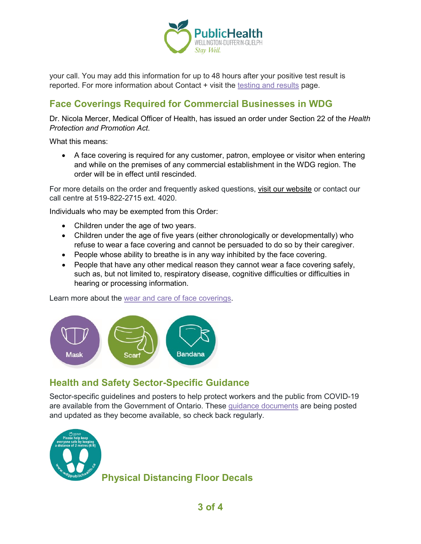

your call. You may add this information for up to 48 hours after your positive test result is reported. For more information about Contact + visit the [testing and results](https://www.wdgpublichealth.ca/your-health/covid-19-information-public/testing-and-results) page.

### **Face Coverings Required for Commercial Businesses in WDG**

Dr. Nicola Mercer, Medical Officer of Health, has issued an order under Section 22 of the *Health Protection and Promotion Act*.

What this means:

• A face covering is required for any customer, patron, employee or visitor when entering and while on the premises of any commercial establishment in the WDG region. The order will be in effect until rescinded.

For more details on the order and frequently asked questions, [visit our website](https://www.wdgpublichealth.ca/your-health/covid-19-information-public/face-coverings-class-order-and-faqs) or contact our call centre at 519-822-2715 ext. 4020.

Individuals who may be exempted from this Order:

- Children under the age of two years.
- Children under the age of five years (either chronologically or developmentally) who refuse to wear a face covering and cannot be persuaded to do so by their caregiver.
- People whose ability to breathe is in any way inhibited by the face covering.
- People that have any other medical reason they cannot wear a face covering safely, such as, but not limited to, respiratory disease, cognitive difficulties or difficulties in hearing or processing information.

Learn more about the [wear and care of face coverings.](https://www.wdgpublichealth.ca/your-health/covid-19-information-public/face-coverings-class-order-and-faqs/wear-and-care-face)



#### **Health and Safety Sector-Specific Guidance**

Sector-specific guidelines and posters to help protect workers and the public from COVID-19 are available from the Government of Ontario. These [guidance documents](https://www.ontario.ca/page/resources-prevent-covid-19-workplace) are being posted and updated as they become available, so check back regularly.